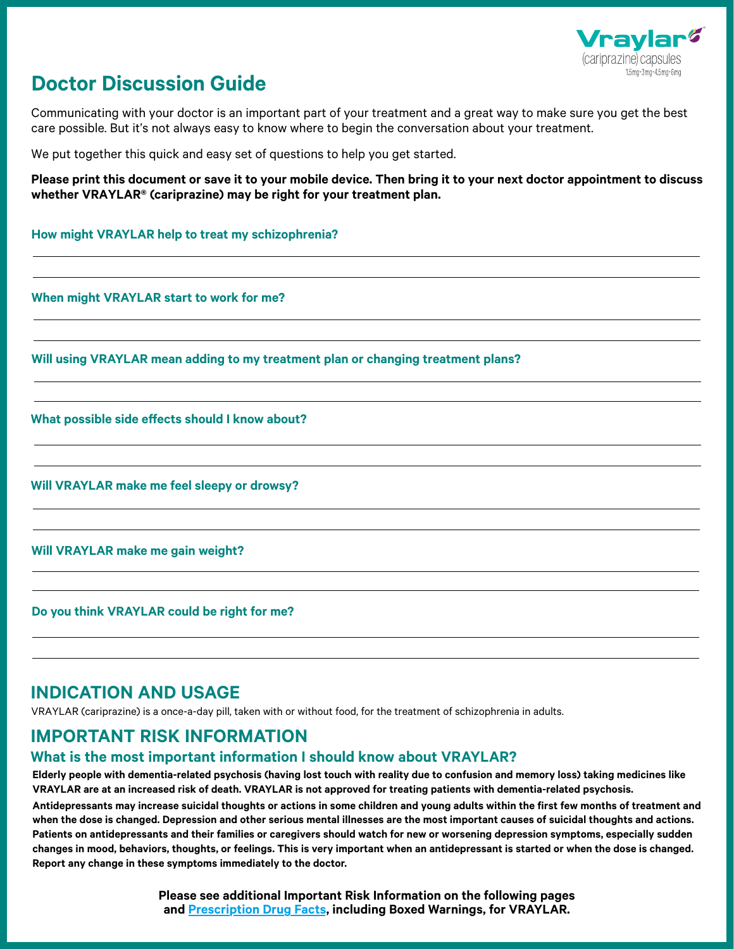

# **Doctor Discussion Guide Doctor Discussion Guide**

Communicating with your doctor is an important part of your treatment and a great way to make sure you get the best care possible. But it's not always easy to know where to begin the conversation about your treatment.

We put together this quick and easy set of questions to help you get started.

**Please print this document or save it to your mobile device. Then bring it to your next doctor appointment to discuss whether VRAYLAR® (cariprazine) may be right for your treatment plan.**

**How might VRAYLAR help to treat my schizophrenia? VRAYLAR help to treat my schizophrenia?**

**When might VRAYLAR start to work for me? When might VRAYLAR start to work for me?**

**Will using VRAYLAR mean adding to my treatment plan or changing treatment plans? Will using VRAYLAR mean adding to my treatment plan or changing treatment plans?**

**What possible side effects should I know about? What possible side effects should I know about?**

**Will VRAYLAR make me feel sleepy or drowsy? Will VRAYLAR make me feel sleepy or drowsy?**

**Will VRAYLAR make me gain weight? Will VRAYLAR make me gain weight?**

**Do you think VRAYLAR could be right for me? Do you think VRAYLAR could be right for me?**

## **INDICATION AND USAGE INDICATION AND USAGE**

VRAYLAR (cariprazine) is a once-a-day pill, taken with or without food, for the treatment of schizophrenia in adults.

## **IMPORTANT RISK INFORMATION IMPORTANT RISK INFORMATION**

### **What is the most important information I should know about VRAYLAR? What is important information I should know about VRAYLAR?**

**Elderly people with dementia-related psychosis (having lost touch with reality due to confusion and memory loss) taking medicines like VRAYLAR are at an increased risk of death. VRAYLAR is not approved for treating patients with dementia-related psychosis.**

**Antidepressants may increase suicidal thoughts or actions in some children and young adults within the first few months of treatment and when the dose is changed. Depression and other serious mental illnesses are the most important causes of suicidal thoughts and actions. Patients on antidepressants and their families or caregivers should watch for new or worsening depression symptoms, especially sudden changes in mood, behaviors, thoughts, or feelings. This is very important when an antidepressant is started or when the dose is changed. Report any change in these symptoms immediately to the doctor.**

> **Please see additional Important Risk Information on the following pages an[d Prescription Drug Facts,](https://www.vraylar.com/api/sitecore/Allergan/OpenPDF/OpenFile?pdffilepath=%2F-%2Fmedia%2Fproject%2Fvraylar%2Fdownload%2Fschizophrenia%2FVraylar_Consumer_Brief_Summary_Bipolar_Disorder_Schizophrenia.ashx) including Boxed Warnings, for VRAYLAR.**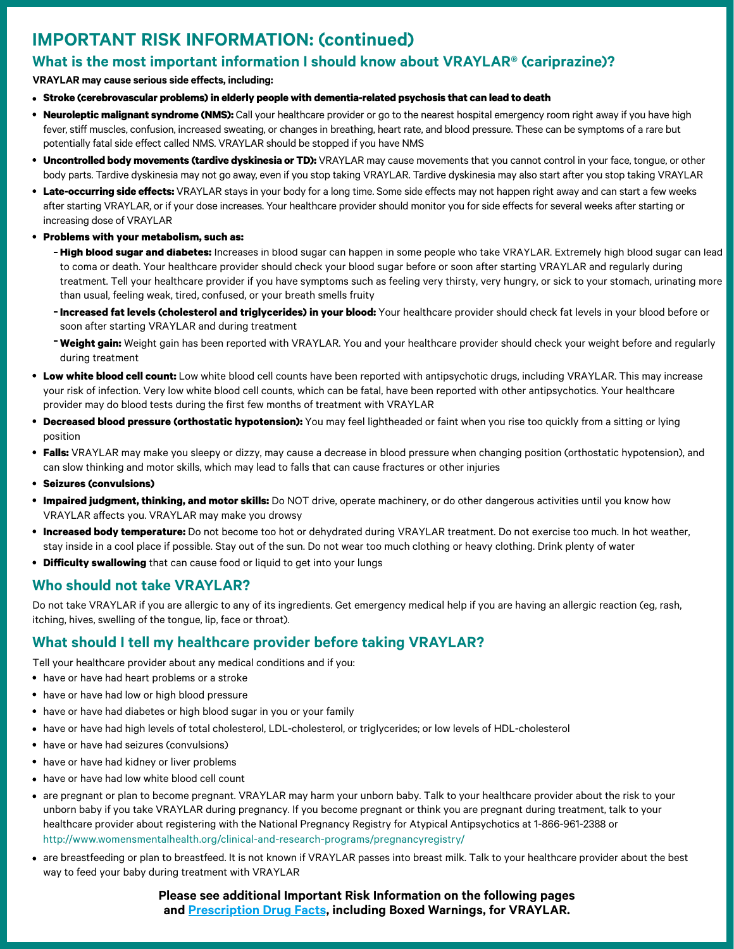## IMPORTANT RISK INFORMATION: (continued) **IMPORTANT RISK INFORMATION: (continued)**

## What is the most important information I should know about VRAYLAR® (cariprazine)? **What is the most important information I should know about VRAYLAR® (cariprazine)?**

#### **VRAYLAR may cause serious side effects, including:**

- **Stroke (cerebrovascular problems) in elderly people with dementia-related psychosis that can lead to death**
- **Neuroleptic malignant syndrome (NMS):** Call your healthcare provider or go to the nearest hospital emergency room right away if you have high fever, stiff muscles, confusion, increased sweating, or changes in breathing, heart rate, and blood pressure. These can be symptoms of a rare but potentially fatal side effect called NMS. VRAYLAR should be stopped if you have NMS
- **Uncontrolled body movements (tardive dyskinesia or TD):** VRAYLAR may cause movements that you cannot control in your face, tongue, or other  $\bullet$ body parts. Tardive dyskinesia may not go away, even if you stop taking VRAYLAR. Tardive dyskinesia may also start after you stop taking VRAYLAR
- **Late-occurring side effects:** VRAYLAR stays in your body for a long time. Some side effects may not happen right away and can start a few weeks after starting VRAYLAR, or if your dose increases. Your healthcare provider should monitor you for side effects for several weeks after starting or increasing dose of VRAYLAR
- **Problems with your metabolism, such as:**
	- **High blood sugar and diabetes:** Increases in blood sugar can happen in some people who take VRAYLAR. Extremely high blood sugar can lead to coma or death. Your healthcare provider should check your blood sugar before or soon after starting VRAYLAR and regularly during treatment. Tell your healthcare provider if you have symptoms such as feeling very thirsty, very hungry, or sick to your stomach, urinating more than usual, feeling weak, tired, confused, or your breath smells fruity
	- **Increased fat levels (cholesterol and triglycerides) in your blood:** Your healthcare provider should check fat levels in your blood before or soon after starting VRAYLAR and during treatment
	- **Weight gain:** Weight gain has been reported with VRAYLAR. You and your healthcare provider should check your weight before and regularly during treatment
- **Low white blood cell count:** Low white blood cell counts have been reported with antipsychotic drugs, including VRAYLAR. This may increase your risk of infection. Very low white blood cell counts, which can be fatal, have been reported with other antipsychotics. Your healthcare provider may do blood tests during the first few months of treatment with VRAYLAR
- **Decreased blood pressure (orthostatic hypotension):** You may feel lightheaded or faint when you rise too quickly from a sitting or lying position
- **Falls:** VRAYLAR may make you sleepy or dizzy, may cause a decrease in blood pressure when changing position (orthostatic hypotension), and can slow thinking and motor skills, which may lead to falls that can cause fractures or other injuries
- **Seizures (convulsions)**
- **Impaired judgment, thinking, and motor skills:** Do NOT drive, operate machinery, or do other dangerous activities until you know how VRAYLAR affects you. VRAYLAR may make you drowsy
- **Increased body temperature:** Do not become too hot or dehydrated during VRAYLAR treatment. Do not exercise too much. In hot weather, stay inside in a cool place if possible. Stay out of the sun. Do not wear too much clothing or heavy clothing. Drink plenty of water
- **Difficulty swallowing** that can cause food or liquid to get into your lungs

## Who should not take VRAYLAR? **Who should not take VRAYLAR?**

Do not take VRAYLAR if you are allergic to any of its ingredients. Get emergency medical help if you are having an allergic reaction (eg, rash, itching, hives, swelling of the tongue, lip, face or throat).

### What should I tell my healthcare provider before taking VRAYLAR? **What should I tell my healthcare provider before taking VRAYLAR?**

Tell your healthcare provider about any medical conditions and if you:

- have or have had heart problems or a stroke
- have or have had low or high blood pressure
- have or have had diabetes or high blood sugar in you or your family
- have or have had high levels of total cholesterol, LDL-cholesterol, or triglycerides; or low levels of HDL-cholesterol
- have or have had seizures (convulsions)
- have or have had kidney or liver problems
- have or have had low white blood cell count
- are pregnant or plan to become pregnant. VRAYLAR may harm your unborn baby. Talk to your healthcare provider about the risk to your unborn baby if you take VRAYLAR during pregnancy. If you become pregnant or think you are pregnant during treatment, talk to your healthcare provider about registering with the National Pregnancy Registry for Atypical Antipsychotics at 1-866-961-2388 or http://www.womensmentalhealth.org/clinical-and-research-programs/pregnancyregistry/ [http://www.womensmentalhealth.org/clinical-and-research-programs/pregnancyregistry/](https://womensmentalhealth.org/research/pregnancyregistry/)
- are breastfeeding or plan to breastfeed. It is not known if VRAYLAR passes into breast milk. Talk to your healthcare provider about the best way to feed your baby during treatment with VRAYLAR

**Please see additional Important Risk Information on the following pages an[d Prescription Drug Facts, i](https://www.vraylar.com/api/sitecore/Allergan/OpenPDF/OpenFile?pdffilepath=%2F-%2Fmedia%2Fproject%2Fvraylar%2Fdownload%2Fschizophrenia%2FVraylar_Consumer_Brief_Summary_Bipolar_Disorder_Schizophrenia.ashx)ncluding Boxed Warnings, for VRAYLAR.**